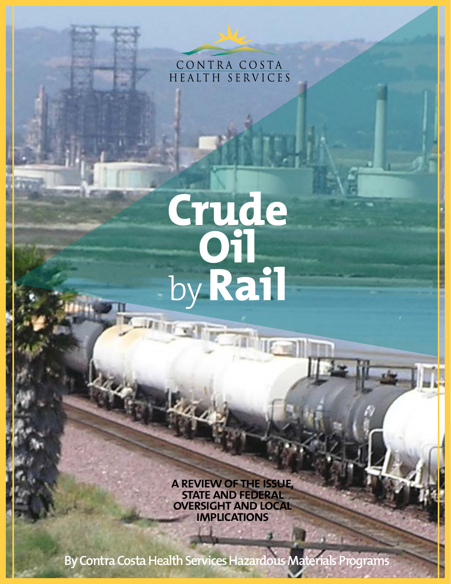CONTRA COSTA HEALTH SERVICES

# **Crude Oil** by**Rail IT IF YE**

**Seming** 

**a review of the issue, state and federal oversight and local implications**

 $1 - 10$ 

**By Contra Costa Health Services Hazardous Materials Programs**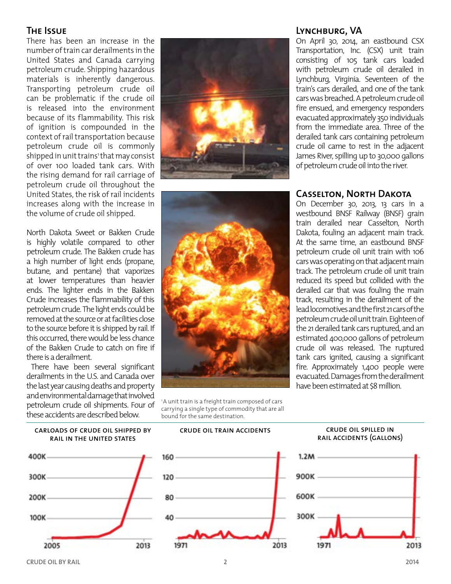#### **The Issue**

There has been an increase in the number of train car derailments in the United States and Canada carrying petroleum crude. Shipping hazardous materials is inherently dangerous. Transporting petroleum crude oil can be problematic if the crude oil is released into the environment because of its flammability. This risk of ignition is compounded in the context of rail transportation because petroleum crude oil is commonly shipped in unit trains' that may consist of over 100 loaded tank cars. With the rising demand for rail carriage of petroleum crude oil throughout the United States, the risk of rail incidents increases along with the increase in the volume of crude oil shipped.

North Dakota Sweet or Bakken Crude is highly volatile compared to other petroleum crude. The Bakken crude has a high number of light ends (propane, butane, and pentane) that vaporizes at lower temperatures than heavier ends. The lighter ends in the Bakken Crude increases the flammability of this petroleum crude. The light ends could be removed at the source or at facilities close to the source before it is shipped by rail. If this occurred, there would be less chance of the Bakken Crude to catch on fire if there is a derailment.

There have been several significant derailments in the U.S. and Canada over the last year causing deaths and property and environmental damage that involved petroleum crude oil shipments. Four of these accidents are described below.





<sup>1</sup>A unit train is a freight train composed of cars carrying a single type of commodity that are all bound for the same destination.

### **Lynchburg, VA**

On April 30, 2014, an eastbound CSX Transportation, Inc. (CSX) unit train consisting of 105 tank cars loaded with petroleum crude oil derailed in Lynchburg, Virginia. Seventeen of the train's cars derailed, and one of the tank cars was breached. A petroleum crude oil fire ensued, and emergency responders evacuated approximately 350 individuals from the immediate area. Three of the derailed tank cars containing petroleum crude oil came to rest in the adjacent James River, spilling up to 30,000 gallons of petroleum crude oil into the river.

#### **Casselton, North Dakota**

On December 30, 2013, 13 cars in a westbound BNSF Railway (BNSF) grain train derailed near Casselton, North Dakota, fouling an adjacent main track. At the same time, an eastbound BNSF petroleum crude oil unit train with 106 cars was operating on that adjacent main track. The petroleum crude oil unit train reduced its speed but collided with the derailed car that was fouling the main track, resulting in the derailment of the lead locomotives and the first 21 cars of the petroleum crude oil unit train. Eighteen of the 21 derailed tank cars ruptured, and an estimated 400,000 gallons of petroleum crude oil was released. The ruptured tank cars ignited, causing a significant fire. Approximately 1,400 people were evacuated. Damages from the derailment have been estimated at \$8 million.

#### carloads of crude oil shipped by rail in the united states





#### crude oil train accidents crude oil spilled in rail accidents (gallons)



2013

1971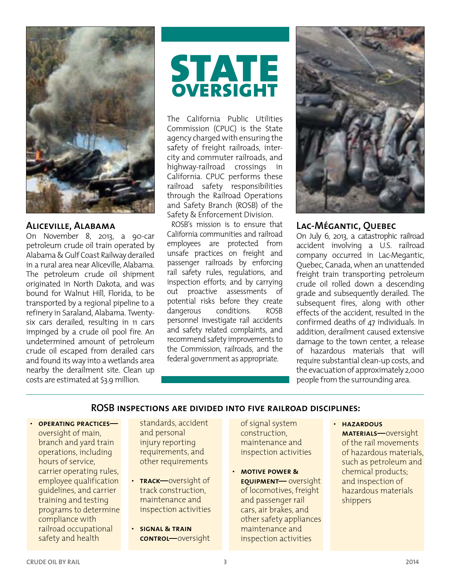

#### **Aliceville, Alabama**

On November 8, 2013, a 90-car petroleum crude oil train operated by Alabama & Gulf Coast Railway derailed in a rural area near Aliceville, Alabama. The petroleum crude oil shipment originated in North Dakota, and was bound for Walnut Hill, Florida, to be transported by a regional pipeline to a refinery in Saraland, Alabama. Twentysix cars derailed, resulting in 11 cars impinged by a crude oil pool fire. An undetermined amount of petroleum crude oil escaped from derailed cars and found its way into a wetlands area nearby the derailment site. Clean up costs are estimated at \$3.9 million.

## **STATE**<br> **OVERSIGHT oversight**

The California Public Utilities Commission (CPUC) is the State agency charged with ensuring the safety of freight railroads, intercity and commuter railroads, and highway-railroad crossings in California. CPUC performs these railroad safety responsibilities through the Railroad Operations and Safety Branch (ROSB) of the Safety & Enforcement Division.

ROSB's mission is to ensure that California communities and railroad employees are protected from unsafe practices on freight and passenger railroads by enforcing rail safety rules, regulations, and inspection efforts; and by carrying out proactive assessments of potential risks before they create dangerous conditions. ROSB personnel investigate rail accidents and safety related complaints, and recommend safety improvements to the Commission, railroads, and the federal government as appropriate.



#### **Lac-Mégantic, Quebec**

On July 6, 2013, a catastrophic railroad accident involving a U.S. railroad company occurred in Lac-Megantic, Quebec, Canada, when an unattended freight train transporting petroleum crude oil rolled down a descending grade and subsequently derailed. The subsequent fires, along with other effects of the accident, resulted in the confirmed deaths of 47 individuals. In addition, derailment caused extensive damage to the town center, a release of hazardous materials that will require substantial clean-up costs, and the evacuation of approximately 2,000 people from the surrounding area.

#### **ROSB inspections are divided into five railroad disciplines:**

• **operating practices** oversight of main, branch and yard train operations, including hours of service, carrier operating rules, employee qualification guidelines, and carrier training and testing programs to determine compliance with railroad occupational safety and health

standards, accident and personal injury reporting requirements, and other requirements

- **track—**oversight of track construction, maintenance and inspection activities
- **signal & train control—**oversight

of signal system construction, maintenance and inspection activities

• **motive power & equipment—** oversight of locomotives, freight and passenger rail cars, air brakes, and other safety appliances maintenance and inspection activities

#### • **hazardous**

**materials—**oversight of the rail movements of hazardous materials, such as petroleum and chemical products; and inspection of hazardous materials shippers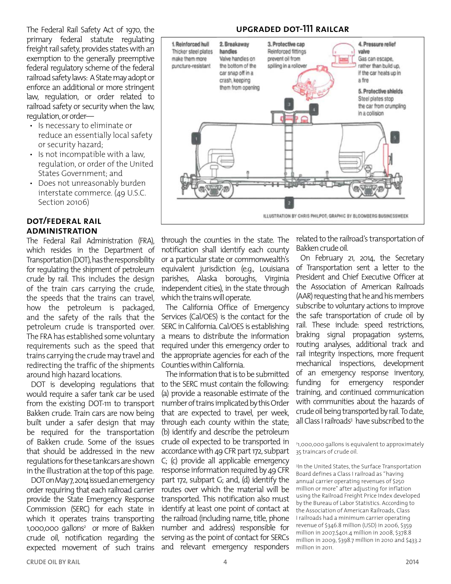The Federal Rail Safety Act of 1970, the primary federal statute regulating freight rail safety, provides states with an exemption to the generally preemptive federal regulatory scheme of the federal railroad safety laws: A State may adopt or enforce an additional or more stringent law, regulation, or order related to railroad safety or security when the law, regulation, or order—

- Is necessary to eliminate or reduce an essentially local safety or security hazard;
- Is not incompatible with a law, regulation, or order of the United States Government; and
- Does not unreasonably burden interstate commerce. (49 U.S.C. Section 20106)

#### **dot/federal rail administration**

The Federal Rail Administration (FRA), which resides in the Department of Transportation (DOT), has the responsibility for regulating the shipment of petroleum crude by rail. This includes the design of the train cars carrying the crude, the speeds that the trains can travel, how the petroleum is packaged, and the safety of the rails that the petroleum crude is transported over. The FRA has established some voluntary requirements such as the speed that trains carrying the crude may travel and redirecting the traffic of the shipments around high hazard locations.

DOT is developing regulations that would require a safer tank car be used from the existing DOT-111 to transport Bakken crude. Train cars are now being built under a safer design that may be required for the transportation of Bakken crude. Some of the issues that should be addressed in the new regulations for these tankcars are shown in the illustration at the top of this page.

DOT on May 7, 2014 issued an emergency order requiring that each railroad carrier provide the State Emergency Response Commission (SERC) for each state in which it operates trains transporting 1,000,000 gallons2 or more of Bakken crude oil, notification regarding the expected movement of such trains

#### **upgraded dot-111 railcar**



through the counties in the state. The notification shall identify each county or a particular state or commonwealth's equivalent jurisdiction (e.g., Louisiana parishes, Alaska boroughs, Virginia independent cities), in the state through which the trains will operate.

The California Office of Emergency Services (Cal/OES) is the contact for the SERC in California. Cal/OES is establishing a means to distribute the information required under this emergency order to the appropriate agencies for each of the Counties within California.

The information that is to be submitted to the SERC must contain the following: (a) provide a reasonable estimate of the number of trains implicated by this Order that are expected to travel, per week, through each county within the state; (b) identify and describe the petroleum crude oil expected to be transported in accordance with 49 CFR part 172, subpart C; (c) provide all applicable emergency response information required by 49 CFR part 172, subpart G; and, (d) identify the routes over which the material will be transported. This notification also must identify at least one point of contact at the railroad (including name, title, phone number and address) responsible for serving as the point of contact for SERCs and relevant emergency responders

related to the railroad's transportation of Bakken crude oil.

On February 21, 2014, the Secretary of Transportation sent a letter to the President and Chief Executive Officer at the Association of American Railroads (AAR) requesting that he and his members subscribe to voluntary actions to improve the safe transportation of crude oil by rail. These include: speed restrictions, braking signal propagation systems, routing analyses, additional track and rail integrity inspections, more frequent mechanical inspections, development of an emergency response inventory, funding for emergency responder training, and continued communication with communities about the hazards of crude oil being transported by rail. To date, all Class I railroads<sup>3</sup> have subscribed to the

2 1,000,000 gallons is equivalent to approximately 35 traincars of crude oil.

3 In the United States, the Surface Transportation Board defines a Class I railroad as "having annual carrier operating revenues of \$250 million or more" after adjusting for inflation using the Railroad Freight Price Index developed by the Bureau of Labor Statistics. According to the Association of American Railroads, Class I railroads had a minimum carrier operating revenue of \$346.8 million (USD) in 2006, \$359 million in 2007,\$401.4 million in 2008, \$378.8 million in 2009, \$398.7 million in 2010 and \$433.2 million in 2011.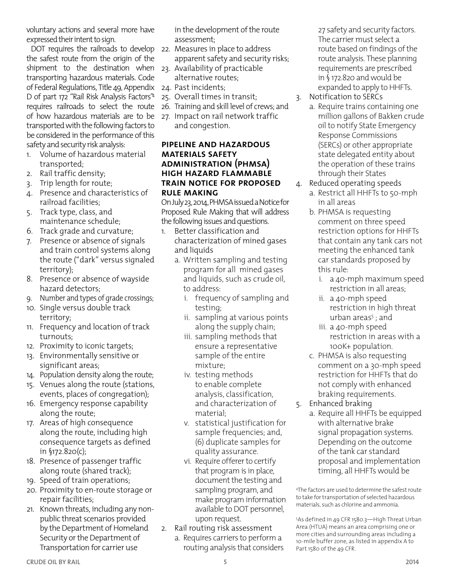voluntary actions and several more have expressed their intent to sign.

DOT requires the railroads to develop the safest route from the origin of the shipment to the destination when transporting hazardous materials. Code of Federal Regulations, Title 49, Appendix D of part 172 "Rail Risk Analysis Factors"<sup>4</sup> requires railroads to select the route of how hazardous materials are to be transported with the following factors to be considered in the performance of this safety and security risk analysis:

- 1. Volume of hazardous material transported;
- 2. Rail traffic density;
- 3. Trip length for route;
- 4. Presence and characteristics of railroad facilities;
- 5. Track type, class, and maintenance schedule;
- 6. Track grade and curvature;
- 7. Presence or absence of signals and train control systems along the route ("dark" versus signaled territory);
- 8. Presence or absence of wayside hazard detectors;
- 9. Number and types of grade crossings;
- 10. Single versus double track territory;
- 11. Frequency and location of track turnouts;
- 12. Proximity to iconic targets;
- 13. Environmentally sensitive or significant areas;
- 14. Population density along the route;
- 15. Venues along the route (stations, events, places of congregation);
- 16. Emergency response capability along the route;
- 17. Areas of high consequence along the route, including high consequence targets as defined in §172.820(c);
- 18. Presence of passenger traffic along route (shared track);
- 19. Speed of train operations;
- 20. Proximity to en-route storage or repair facilities;
- 21. Known threats, including any nonpublic threat scenarios provided by the Department of Homeland Security or the Department of Transportation for carrier use

in the development of the route assessment;

- 22. Measures in place to address apparent safety and security risks;
- 23. Availability of practicable alternative routes;
- 24. Past incidents;
- 25. Overall times in transit;
- 26. Training and skill level of crews; and 27. Impact on rail network traffic and congestion.

#### **pipeline and hazardous materials safety administration (phmsa) high hazard flammable train notice for proposed rule making**

On July 23, 2014, PHMSA issued a Notice for Proposed Rule Making that will address the following issues and questions.

- 1. Better classification and characterization of mined gases and liquids
	- a. Written sampling and testing program for all mined gases and liquids, such as crude oil, to address:
		- i. frequency of sampling and testing;
		- ii. sampling at various points along the supply chain;
		- iii. sampling methods that ensure a representative sample of the entire mixture;
		- iv. testing methods to enable complete analysis, classification, and characterization of material;
		- v. statistical justification for sample frequencies; and, (6) duplicate samples for quality assurance.
		- vi. Require offerer to certify that program is in place, document the testing and sampling program, and make program information available to DOT personnel, upon request.
- 2. Rail routing risk assessment
	- a. Requires carriers to perform a routing analysis that considers

27 safety and security factors. The carrier must select a route based on findings of the route analysis. These planning requirements are prescribed in § 172.820 and would be expanded to apply to HHFTs. 3. Notification to SERCs

- a. Require trains containing one million gallons of Bakken crude oil to notify State Emergency Response Commissions (SERCs) or other appropriate state delegated entity about the operation of these trains
- through their States 4. Reduced operating speeds
	- a. Restrict all HHFTs to 50-mph in all areas
	- b. PHMSA is requesting comment on three speed restriction options for HHFTs that contain any tank cars not meeting the enhanced tank car standards proposed by this rule:
		- i. a 40-mph maximum speed restriction in all areas;
		- ii. a 40-mph speed restriction in high threat urban areas<sup>5</sup> ; and
		- iii. a 40-mph speed restriction in areas with a 100K+ population.
	- c. PHMSA is also requesting comment on a 30-mph speed restriction for HHFTs that do not comply with enhanced braking requirements.
- 5. Enhanced braking
	- a. Require all HHFTs be equipped with alternative brake signal propagation systems. Depending on the outcome of the tank car standard proposal and implementation timing, all HHFTs would be

4 The factors are used to determine the safest route to take for transportation of selected hazardous materials, such as chlorine and ammonia.

5 As defined in 49 CFR 1580.3—High Threat Urban Area (HTUA) means an area comprising one or more cities and surrounding areas including a 10-mile buffer zone, as listed in appendix A to Part 1580 of the 49 CFR.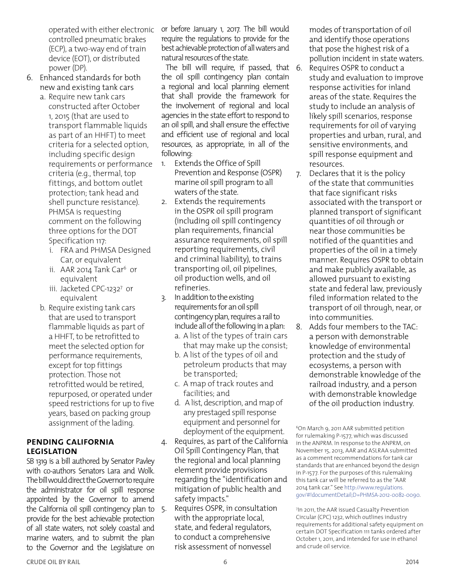operated with either electronic controlled pneumatic brakes (ECP), a two-way end of train device (EOT), or distributed power (DP).

- 6. Enhanced standards for both new and existing tank cars
	- a. Require new tank cars constructed after October 1, 2015 (that are used to transport flammable liquids as part of an HHFT) to meet criteria for a selected option, including specific design requirements or performance criteria (e.g., thermal, top fittings, and bottom outlet protection; tank head and shell puncture resistance). PHMSA is requesting comment on the following three options for the DOT Specification 117:
		- i. FRA and PHMSA Designed Car, or equivalent
		- ii. AAR 2014 Tank Car<sup>6</sup> or equivalent
		- iii. Jacketed CPC-12327 or equivalent
	- b. Require existing tank cars that are used to transport flammable liquids as part of a HHFT, to be retrofitted to meet the selected option for performance requirements, except for top fittings protection. Those not retrofitted would be retired, repurposed, or operated under speed restrictions for up to five years, based on packing group assignment of the lading.

#### **pending california legislation**

SB 1319 is a bill authored by Senator Pavley with co-authors Senators Lara and Wolk. The bill would direct the Governor to require the administrator for oil spill response appointed by the Governor to amend the California oil spill contingency plan to 5. provide for the best achievable protection of all state waters, not solely coastal and marine waters, and to submit the plan to the Governor and the Legislature on

or before January 1, 2017. The bill would require the regulations to provide for the best achievable protection of all waters and natural resources of the state.

The bill will require, if passed, that 6. the oil spill contingency plan contain a regional and local planning element that shall provide the framework for the involvement of regional and local agencies in the state effort to respond to an oil spill, and shall ensure the effective and efficient use of regional and local resources, as appropriate, in all of the following:

- 1. Extends the Office of Spill Prevention and Response (OSPR) marine oil spill program to all waters of the state.
- 2. Extends the requirements in the OSPR oil spill program (including oil spill contingency plan requirements, financial assurance requirements, oil spill reporting requirements, civil and criminal liability), to trains transporting oil, oil pipelines, oil production wells, and oil refineries.

3. In addition to the existing requirements for an oil spill contingency plan, requires a rail to include all of the following in a plan:

- a. A list of the types of train cars that may make up the consist;
- b. A list of the types of oil and petroleum products that may be transported;
- c. A map of track routes and facilities; and
- d. A list, description, and map of any prestaged spill response equipment and personnel for deployment of the equipment.
- Requires, as part of the California Oil Spill Contingency Plan, that the regional and local planning element provide provisions regarding the "identification and mitigation of public health and safety impacts."
- 5. Requires OSPR, in consultation with the appropriate local, state, and federal regulators, to conduct a comprehensive risk assessment of nonvessel

modes of transportation of oil and identify those operations that pose the highest risk of a pollution incident in state waters.

- Requires OSPR to conduct a study and evaluation to improve response activities for inland areas of the state. Requires the study to include an analysis of likely spill scenarios, response requirements for oil of varying properties and urban, rural, and sensitive environments, and spill response equipment and resources.
- 7. Declares that it is the policy of the state that communities that face significant risks associated with the transport or planned transport of significant quantities of oil through or near those communities be notified of the quantities and properties of the oil in a timely manner. Requires OSPR to obtain and make publicly available, as allowed pursuant to existing state and federal law, previously filed information related to the transport of oil through, near, or into communities.
- 8. Adds four members to the TAC: a person with demonstrable knowledge of environmental protection and the study of ecosystems, a person with demonstrable knowledge of the railroad industry, and a person with demonstrable knowledge of the oil production industry.

<sup>6</sup>On March 9, 2011 AAR submitted petition for rulemaking P-1577, which was discussed in the ANPRM. In response to the ANPRM, on November 15, 2013, AAR and ASLRAA submitted as a comment recommendations for tank car standards that are enhanced beyond the design in P-1577. For the purposes of this rulemaking this tank car will be referred to as the "AAR 2014 tank car." See [http://www.regulations.](http://www.regulations.gov/#!documentDetail;D=PHMSA-2012-0082-0090) [gov/#!documentDetail;D=PHMSA-2012-0082-0090.](http://www.regulations.gov/#!documentDetail;D=PHMSA-2012-0082-0090)

<sup>7</sup> In 2011, the AAR issued Casualty Prevention Circular (CPC) 1232, which outlines industry requirements for additional safety equipment on certain DOT Specification 111 tanks ordered after October 1, 2011, and intended for use in ethanol and crude oil service.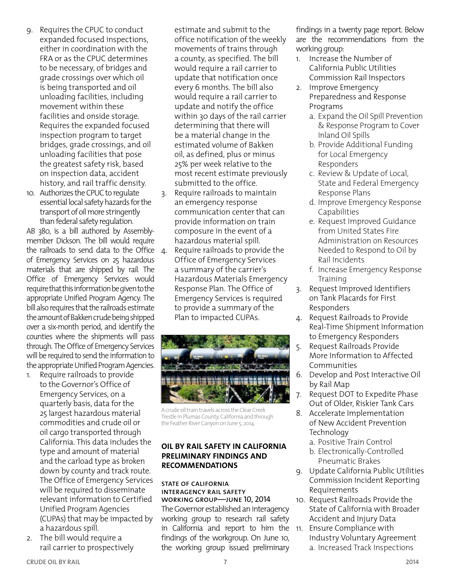- 9. Requires the CPUC to conduct expanded focused inspections, either in coordination with the FRA or as the CPUC determines to be necessary, of bridges and grade crossings over which oil is being transported and oil unloading facilities, including movement within these facilities and onside storage. Requires the expanded focused inspection program to target bridges, grade crossings, and oil unloading facilities that pose the greatest safety risk, based on inspection data, accident history, and rail traffic density.
- 10. Authorizes the CPUC to regulate essential local safety hazards for the transport of oil more stringently than federal safety regulation.

AB 380, is a bill authored by Assemblymember Dickson. The bill would require the railroads to send data to the Office 4. of Emergency Services on 25 hazardous materials that are shipped by rail. The Office of Emergency Services would require that this information be given to the appropriate Unified Program Agency. The bill also requires that the railroads estimate the amount of Bakken crude being shipped over a six-month period, and identify the counties where the shipments will pass through. The Office of Emergency Services will be required to send the information to the appropriate Unified Program Agencies.

- Require railroads to provide to the Governor's Office of Emergency Services, on a quarterly basis, data for the 25 largest hazardous material commodities and crude oil or oil cargo transported through California. This data includes the type and amount of material and the carload type as broken down by county and track route. The Office of Emergency Services will be required to disseminate relevant information to Certified Unified Program Agencies (CUPAs) that may be impacted by a hazardous spill.
- 2. The bill would require a rail carrier to prospectively

estimate and submit to the office notification of the weekly movements of trains through a county, as specified. The bill would require a rail carrier to update that notification once every 6 months. The bill also would require a rail carrier to update and notify the office within 30 days of the rail carrier determining that there will be a material change in the estimated volume of Bakken oil, as defined, plus or minus 25% per week relative to the most recent estimate previously submitted to the office.

- 3. Require railroads to maintain an emergency response communication center that can provide information on train composure in the event of a hazardous material spill.
- Require railroads to provide the Office of Emergency Services a summary of the carrier's Hazardous Materials Emergency Response Plan. The Office of Emergency Services is required to provide a summary of the Plan to impacted CUPAs.



A crude oil train travels across the Clear Creek Trestle in Plumas County, California and through the Feather River Canyon on June 5, 2014.

#### **oil by rail safety in california preliminary findings and recommendations**

#### state of california interagency rail safety working group—june 10, 2014

The Governor established an interagency working group to research rail safety in California and report to him the 11. Ensure Compliance with findings of the workgroup. On June 10, the working group issued preliminary

findings in a twenty page report. Below are the recommendations from the working group:

- 1. Increase the Number of California Public Utilities Commission Rail Inspectors
- 2. Improve Emergency Preparedness and Response Programs
	- a. Expand the Oil Spill Prevention & Response Program to Cover Inland Oil Spills
	- b. Provide Additional Funding for Local Emergency Responders
	- c. Review & Update of Local, State and Federal Emergency Response Plans
	- d. Improve Emergency Response Capabilities
	- e. Request Improved Guidance from United States Fire Administration on Resources Needed to Respond to Oil by Rail Incidents
	- f. Increase Emergency Response Training
- 3. Request Improved Identifiers on Tank Placards for First Responders
- 4. Request Railroads to Provide Real-Time Shipment Information to Emergency Responders
- 5. Request Railroads Provide More Information to Affected Communities
- 6. Develop and Post Interactive Oil by Rail Map
- 7. Request DOT to Expedite Phase Out of Older, Riskier Tank Cars
- 8. Accelerate Implementation of New Accident Prevention Technology
	- a. Positive Train Control
	- b. Electronically-Controlled Pneumatic Brakes
- 9. Update California Public Utilities Commission Incident Reporting Requirements
- 10. Request Railroads Provide the State of California with Broader Accident and Injury Data
- Industry Voluntary Agreement a. Increased Track Inspections